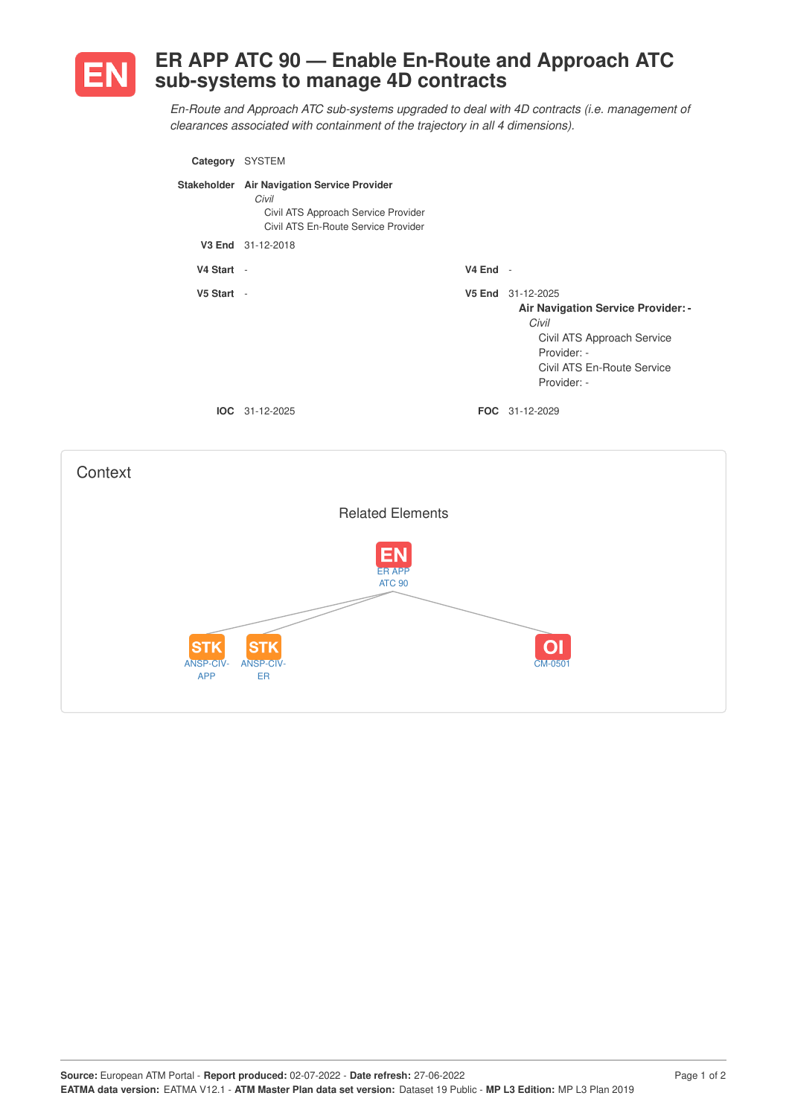

## **ER APP ATC 90 — Enable En-Route and Approach ATC sub-systems to manage 4D contracts**

*En-Route and Approach ATC sub-systems upgraded to deal with 4D contracts (i.e. management of clearances associated with containment of the trajectory in all 4 dimensions).*